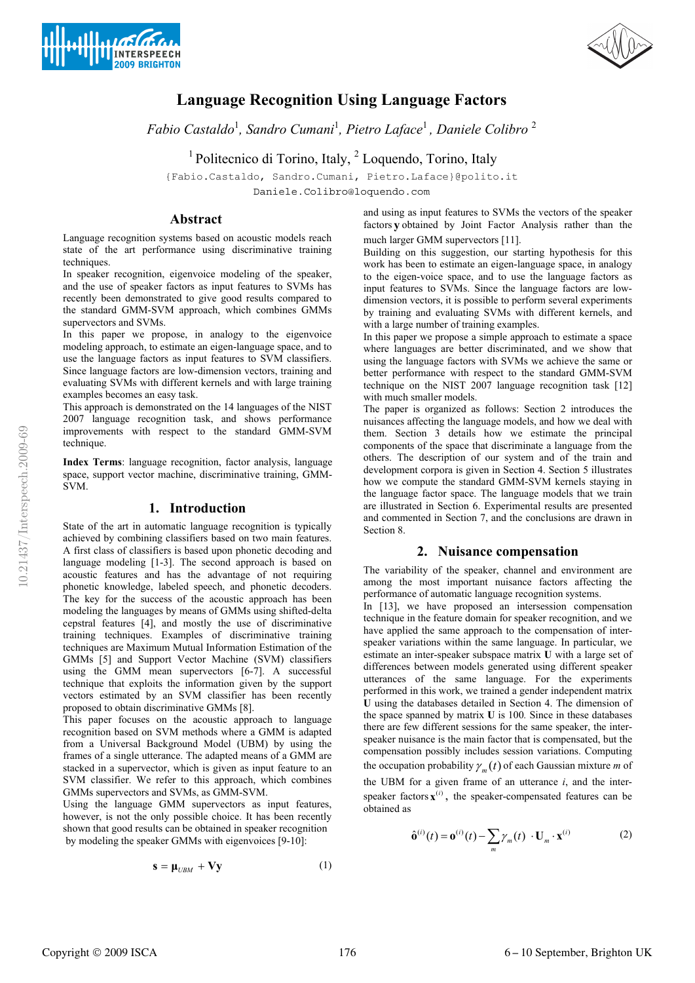



# **Language Recognition Using Language Factors**

*Fabio Castaldo*<sup>1</sup> *, Sandro Cumani*<sup>1</sup> *, Pietro Laface*<sup>1</sup> *, Daniele Colibro* <sup>2</sup>

<sup>1</sup> Politecnico di Torino, Italy, <sup>2</sup> Loquendo, Torino, Italy

{Fabio.Castaldo, Sandro.Cumani, Pietro.Laface}@polito.it

Daniele.Colibro@loquendo.com

# **Abstract**

Language recognition systems based on acoustic models reach state of the art performance using discriminative training techniques.

In speaker recognition, eigenvoice modeling of the speaker, and the use of speaker factors as input features to SVMs has recently been demonstrated to give good results compared to the standard GMM-SVM approach, which combines GMMs supervectors and SVMs.

In this paper we propose, in analogy to the eigenvoice modeling approach, to estimate an eigen-language space, and to use the language factors as input features to SVM classifiers. Since language factors are low-dimension vectors, training and evaluating SVMs with different kernels and with large training examples becomes an easy task.

This approach is demonstrated on the 14 languages of the NIST 2007 language recognition task, and shows performance improvements with respect to the standard GMM-SVM technique

**Index Terms**: language recognition, factor analysis, language space, support vector machine, discriminative training, GMM-SVM.

# **1. Introduction**

State of the art in automatic language recognition is typically achieved by combining classifiers based on two main features. A first class of classifiers is based upon phonetic decoding and language modeling [1-3]. The second approach is based on acoustic features and has the advantage of not requiring phonetic knowledge, labeled speech, and phonetic decoders. The key for the success of the acoustic approach has been modeling the languages by means of GMMs using shifted-delta cepstral features [4], and mostly the use of discriminative training techniques. Examples of discriminative training techniques are Maximum Mutual Information Estimation of the GMMs [5] and Support Vector Machine (SVM) classifiers using the GMM mean supervectors [6-7]. A successful technique that exploits the information given by the support vectors estimated by an SVM classifier has been recently proposed to obtain discriminative GMMs [8].

This paper focuses on the acoustic approach to language recognition based on SVM methods where a GMM is adapted from a Universal Background Model (UBM) by using the frames of a single utterance. The adapted means of a GMM are stacked in a supervector, which is given as input feature to an SVM classifier. We refer to this approach, which combines GMMs supervectors and SVMs, as GMM-SVM.

Using the language GMM supervectors as input features, however, is not the only possible choice. It has been recently shown that good results can be obtained in speaker recognition by modeling the speaker GMMs with eigenvoices [9-10]:

$$
\mathbf{s} = \mathbf{\mu}_{UBM} + \mathbf{V}\mathbf{y} \tag{1}
$$

and using as input features to SVMs the vectors of the speaker factors **y** obtained by Joint Factor Analysis rather than the much larger GMM supervectors [11].

Building on this suggestion, our starting hypothesis for this work has been to estimate an eigen-language space, in analogy to the eigen-voice space, and to use the language factors as input features to SVMs. Since the language factors are lowdimension vectors, it is possible to perform several experiments by training and evaluating SVMs with different kernels, and with a large number of training examples.

In this paper we propose a simple approach to estimate a space where languages are better discriminated, and we show that using the language factors with SVMs we achieve the same or better performance with respect to the standard GMM-SVM technique on the NIST 2007 language recognition task [12] with much smaller models.

The paper is organized as follows: Section 2 introduces the nuisances affecting the language models, and how we deal with them. Section 3 details how we estimate the principal components of the space that discriminate a language from the others. The description of our system and of the train and development corpora is given in Section 4. Section 5 illustrates how we compute the standard GMM-SVM kernels staying in the language factor space. The language models that we train are illustrated in Section 6. Experimental results are presented and commented in Section 7, and the conclusions are drawn in Section 8.

# **2. Nuisance compensation**

The variability of the speaker, channel and environment are among the most important nuisance factors affecting the performance of automatic language recognition systems.

In [13], we have proposed an intersession compensation technique in the feature domain for speaker recognition, and we have applied the same approach to the compensation of interspeaker variations within the same language. In particular, we estimate an inter-speaker subspace matrix **U** with a large set of differences between models generated using different speaker utterances of the same language. For the experiments performed in this work, we trained a gender independent matrix **U** using the databases detailed in Section 4. The dimension of the space spanned by matrix **U** is 100*.* Since in these databases there are few different sessions for the same speaker, the interspeaker nuisance is the main factor that is compensated, but the compensation possibly includes session variations. Computing the occupation probability  $\gamma_m(t)$  of each Gaussian mixture *m* of the UBM for a given frame of an utterance *i*, and the interspeaker factors  $\mathbf{x}^{(i)}$ , the speaker-compensated features can be

$$
\hat{\mathbf{o}}^{(i)}(t) = \mathbf{o}^{(i)}(t) - \sum_{m} \gamma_m(t) \cdot \mathbf{U}_m \cdot \mathbf{x}^{(i)}
$$
 (2)

obtained as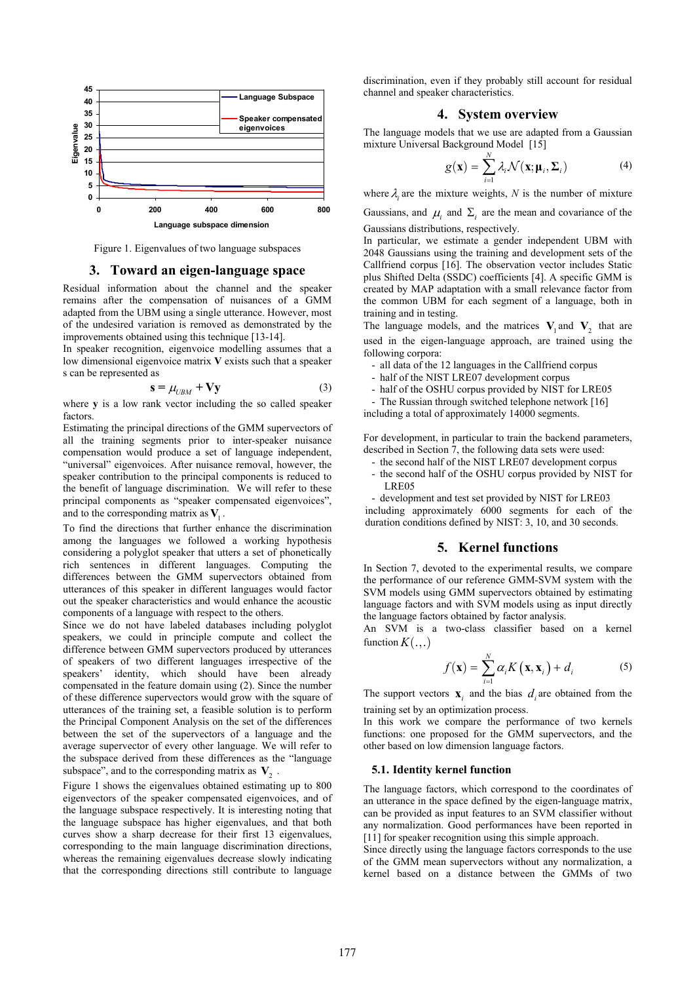

Figure 1. Eigenvalues of two language subspaces

#### **3. Toward an eigen-language space**

Residual information about the channel and the speaker remains after the compensation of nuisances of a GMM adapted from the UBM using a single utterance. However, most of the undesired variation is removed as demonstrated by the improvements obtained using this technique [13-14].

In speaker recognition, eigenvoice modelling assumes that a low dimensional eigenvoice matrix **V** exists such that a speaker s can be represented as

$$
\mathbf{s} = \mu_{UBM} + \mathbf{V}\mathbf{y} \tag{3}
$$

where **y** is a low rank vector including the so called speaker factors.

Estimating the principal directions of the GMM supervectors of all the training segments prior to inter-speaker nuisance compensation would produce a set of language independent, "universal" eigenvoices. After nuisance removal, however, the speaker contribution to the principal components is reduced to the benefit of language discrimination. We will refer to these principal components as "speaker compensated eigenvoices", and to the corresponding matrix as  $V_1$ .

To find the directions that further enhance the discrimination among the languages we followed a working hypothesis considering a polyglot speaker that utters a set of phonetically rich sentences in different languages. Computing the differences between the GMM supervectors obtained from utterances of this speaker in different languages would factor out the speaker characteristics and would enhance the acoustic components of a language with respect to the others.

Since we do not have labeled databases including polyglot speakers, we could in principle compute and collect the difference between GMM supervectors produced by utterances of speakers of two different languages irrespective of the speakers' identity, which should have been already compensated in the feature domain using (2). Since the number of these difference supervectors would grow with the square of utterances of the training set, a feasible solution is to perform the Principal Component Analysis on the set of the differences between the set of the supervectors of a language and the average supervector of every other language. We will refer to the subspace derived from these differences as the "language subspace", and to the corresponding matrix as  $V_2$ .

Figure 1 shows the eigenvalues obtained estimating up to 800 eigenvectors of the speaker compensated eigenvoices, and of the language subspace respectively. It is interesting noting that the language subspace has higher eigenvalues, and that both curves show a sharp decrease for their first 13 eigenvalues, corresponding to the main language discrimination directions, whereas the remaining eigenvalues decrease slowly indicating that the corresponding directions still contribute to language discrimination, even if they probably still account for residual channel and speaker characteristics.

# **4. System overview**

The language models that we use are adapted from a Gaussian mixture Universal Background Model [15]

$$
g(\mathbf{x}) = \sum_{i=1}^{N} \lambda_i \mathcal{N}(\mathbf{x}; \mathbf{\mu}_i, \Sigma_i)
$$
 (4)

where  $\lambda_i$  are the mixture weights,  $N$  is the number of mixture

Gaussians, and  $\mu_i$  and  $\Sigma_i$  are the mean and covariance of the Gaussians distributions, respectively.

In particular, we estimate a gender independent UBM with 2048 Gaussians using the training and development sets of the Callfriend corpus [16]. The observation vector includes Static plus Shifted Delta (SSDC) coefficients [4]. A specific GMM is created by MAP adaptation with a small relevance factor from the common UBM for each segment of a language, both in training and in testing.

The language models, and the matrices  $V_1$  and  $V_2$  that are used in the eigen-language approach, are trained using the following corpora:

- all data of the 12 languages in the Callfriend corpus

- half of the NIST LRE07 development corpus
- half of the OSHU corpus provided by NIST for LRE05

- The Russian through switched telephone network [16] including a total of approximately 14000 segments.

For development, in particular to train the backend parameters, described in Section 7, the following data sets were used:

- the second half of the NIST LRE07 development corpus
- the second half of the OSHU corpus provided by NIST for LRE05

- development and test set provided by NIST for LRE03 including approximately 6000 segments for each of the duration conditions defined by NIST: 3, 10, and 30 seconds.

# **5. Kernel functions**

In Section 7, devoted to the experimental results, we compare the performance of our reference GMM-SVM system with the SVM models using GMM supervectors obtained by estimating language factors and with SVM models using as input directly the language factors obtained by factor analysis.

An SVM is a two-class classifier based on a kernel function  $K(\ldots)$ 

$$
f(\mathbf{x}) = \sum_{i=1}^{N} \alpha_i K(\mathbf{x}, \mathbf{x}_i) + d_i
$$
 (5)

The support vectors  $\mathbf{x}_i$  and the bias  $d_i$  are obtained from the training set by an optimization process.

In this work we compare the performance of two kernels functions: one proposed for the GMM supervectors, and the other based on low dimension language factors.

#### **5.1. Identity kernel function**

The language factors, which correspond to the coordinates of an utterance in the space defined by the eigen-language matrix, can be provided as input features to an SVM classifier without any normalization. Good performances have been reported in [11] for speaker recognition using this simple approach.

Since directly using the language factors corresponds to the use of the GMM mean supervectors without any normalization, a kernel based on a distance between the GMMs of two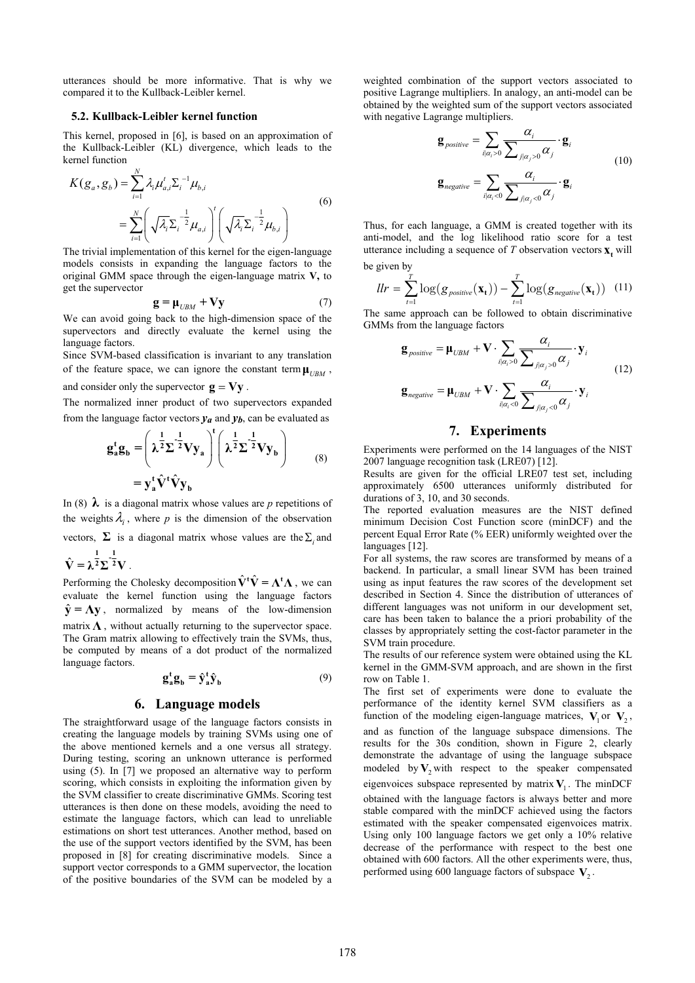utterances should be more informative. That is why we compared it to the Kullback-Leibler kernel.

#### **5.2. Kullback-Leibler kernel function**

This kernel, proposed in [6], is based on an approximation of the Kullback-Leibler (KL) divergence, which leads to the kernel function

$$
K(g_a, g_b) = \sum_{i=1}^{N} \lambda_i \mu_{a,i}^{t} \Sigma_i^{-1} \mu_{b,i}
$$
  
= 
$$
\sum_{i=1}^{N} \left( \sqrt{\lambda_i} \Sigma_i^{-\frac{1}{2}} \mu_{a,i} \right)^{t} \left( \sqrt{\lambda_i} \Sigma_i^{-\frac{1}{2}} \mu_{b,i} \right)
$$
 (6)

The trivial implementation of this kernel for the eigen-language models consists in expanding the language factors to the original GMM space through the eigen-language matrix **V,** to get the supervector

$$
\mathbf{g} = \mathbf{\mu}_{UBM} + \mathbf{V}\mathbf{y} \tag{7}
$$

We can avoid going back to the high-dimension space of the supervectors and directly evaluate the kernel using the language factors.

Since SVM-based classification is invariant to any translation of the feature space, we can ignore the constant term  $\mu_{URM}$ ,

and consider only the supervector  $\mathbf{g} = \mathbf{V}\mathbf{y}$ .

The normalized inner product of two supervectors expanded from the language factor vectors  $y_a$  and  $y_b$ , can be evaluated as

$$
g_a^t g_b = \left(\lambda^{\frac{1}{2}} \Sigma^{-\frac{1}{2}} V y_a\right)^t \left(\lambda^{\frac{1}{2}} \Sigma^{-\frac{1}{2}} V y_b\right)
$$
  
=  $y_a^t \hat{V}^t \hat{V} y_b$  (8)

In (8)  $\lambda$  is a diagonal matrix whose values are *p* repetitions of the weights  $\lambda$ , where p is the dimension of the observation

vectors,  $\Sigma$  is a diagonal matrix whose values are the  $\Sigma$  and

$$
\hat{\mathbf{V}} = \lambda^{\frac{1}{2}} \Sigma^{\frac{1}{2}} \mathbf{V} .
$$

Performing the Cholesky decomposition  $\hat{\mathbf{V}}^{\dagger} \hat{\mathbf{V}} = \mathbf{\Lambda}^{\dagger} \mathbf{\Lambda}$ , we can evaluate the kernel function using the language factors  $\hat{y} = Ay$ , normalized by means of the low-dimension matrix  $\Lambda$ , without actually returning to the supervector space. The Gram matrix allowing to effectively train the SVMs, thus, be computed by means of a dot product of the normalized language factors.

$$
\mathbf{g}_a^{\mathbf{t}} \mathbf{g}_b = \hat{\mathbf{y}}_a^{\mathbf{t}} \hat{\mathbf{y}}_b \tag{9}
$$

#### **6. Language models**

The straightforward usage of the language factors consists in creating the language models by training SVMs using one of the above mentioned kernels and a one versus all strategy. During testing, scoring an unknown utterance is performed using (5). In [7] we proposed an alternative way to perform scoring, which consists in exploiting the information given by the SVM classifier to create discriminative GMMs. Scoring test utterances is then done on these models, avoiding the need to estimate the language factors, which can lead to unreliable estimations on short test utterances. Another method, based on the use of the support vectors identified by the SVM, has been proposed in [8] for creating discriminative models. Since a support vector corresponds to a GMM supervector, the location of the positive boundaries of the SVM can be modeled by a weighted combination of the support vectors associated to positive Lagrange multipliers. In analogy, an anti-model can be obtained by the weighted sum of the support vectors associated with negative Lagrange multipliers.

$$
\mathbf{g}_{positive} = \sum_{i|\alpha_i>0} \frac{\alpha_i}{\sum_{j|\alpha_j>0} \alpha_j} \cdot \mathbf{g}_i
$$
  

$$
\mathbf{g}_{negative} = \sum_{i|\alpha_i<0} \frac{\alpha_i}{\sum_{j|\alpha_j<0} \alpha_j} \cdot \mathbf{g}_i
$$
 (10)

Thus, for each language, a GMM is created together with its anti-model, and the log likelihood ratio score for a test utterance including a sequence of  $T$  observation vectors  $\mathbf{x}_t$  will be given by

$$
llr = \sum_{t=1}^{T} \log(g_{\text{positive}}(\mathbf{x_t})) - \sum_{t=1}^{T} \log(g_{\text{negative}}(\mathbf{x_t})) \quad (11)
$$

The same approach can be followed to obtain discriminative GMMs from the language factors

$$
\mathbf{g}_{positive} = \mathbf{\mu}_{UBM} + \mathbf{V} \cdot \sum_{i|\alpha_i > 0} \frac{\alpha_i}{\sum_{j|\alpha_j > 0} \alpha_j} \cdot \mathbf{y}_i
$$
\n
$$
\mathbf{g}_{negative} = \mathbf{\mu}_{UBM} + \mathbf{V} \cdot \sum_{i|\alpha_i < 0} \frac{\alpha_i}{\sum_{j|\alpha_j < 0} \alpha_j} \cdot \mathbf{y}_i
$$
\n(12)

# **7. Experiments**

Experiments were performed on the 14 languages of the NIST 2007 language recognition task (LRE07) [12].

Results are given for the official LRE07 test set, including approximately 6500 utterances uniformly distributed for durations of 3, 10, and 30 seconds.

The reported evaluation measures are the NIST defined minimum Decision Cost Function score (minDCF) and the percent Equal Error Rate (% EER) uniformly weighted over the languages [12].

For all systems, the raw scores are transformed by means of a backend. In particular, a small linear SVM has been trained using as input features the raw scores of the development set described in Section 4. Since the distribution of utterances of different languages was not uniform in our development set, care has been taken to balance the a priori probability of the classes by appropriately setting the cost-factor parameter in the SVM train procedure.

The results of our reference system were obtained using the KL kernel in the GMM-SVM approach, and are shown in the first row on Table 1.

The first set of experiments were done to evaluate the performance of the identity kernel SVM classifiers as a function of the modeling eigen-language matrices,  $V_1$  or  $V_2$ , and as function of the language subspace dimensions. The results for the 30s condition, shown in Figure 2, clearly demonstrate the advantage of using the language subspace modeled by  $V_2$  with respect to the speaker compensated eigenvoices subspace represented by matrix  $V_1$ . The minDCF obtained with the language factors is always better and more stable compared with the minDCF achieved using the factors estimated with the speaker compensated eigenvoices matrix. Using only 100 language factors we get only a 10% relative decrease of the performance with respect to the best one obtained with 600 factors. All the other experiments were, thus, performed using 600 language factors of subspace  $V_2$ .